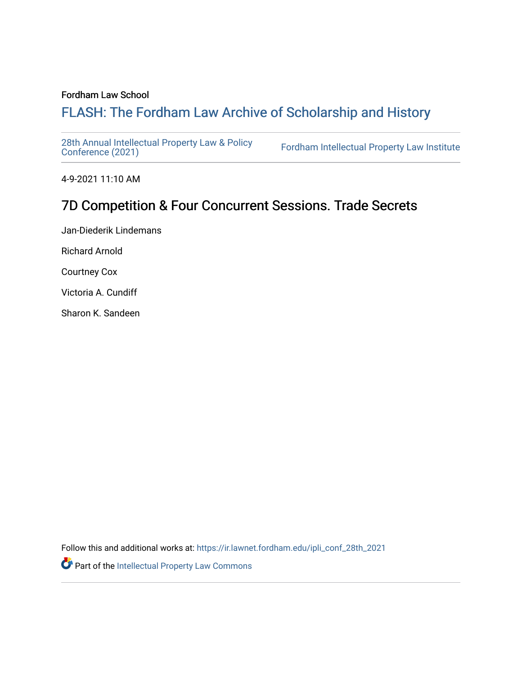#### Fordham Law School

# FLASH: The For[dham Law Archive of Scholarship and Hist](https://ir.lawnet.fordham.edu/)ory

[28th Annual Intellectual Property Law & Policy](https://ir.lawnet.fordham.edu/ipli_conf_28th_2021)<br>Conference (2021)

Fordham Intellectual Property Law Institute

4-9-2021 11:10 AM

# 7D Competition & Four Concurrent Sessions. Trade Secrets

Jan-Diederik Lindemans Richard Arnold Courtney Cox

Victoria A. Cundiff

Sharon K. Sandeen

Follow this and additional works at: [https://ir.lawnet.fordham.edu/ipli\\_conf\\_28th\\_2021](https://ir.lawnet.fordham.edu/ipli_conf_28th_2021?utm_source=ir.lawnet.fordham.edu%2Fipli_conf_28th_2021%2F24&utm_medium=PDF&utm_campaign=PDFCoverPages) 

Part of the [Intellectual Property Law Commons](http://network.bepress.com/hgg/discipline/896?utm_source=ir.lawnet.fordham.edu%2Fipli_conf_28th_2021%2F24&utm_medium=PDF&utm_campaign=PDFCoverPages)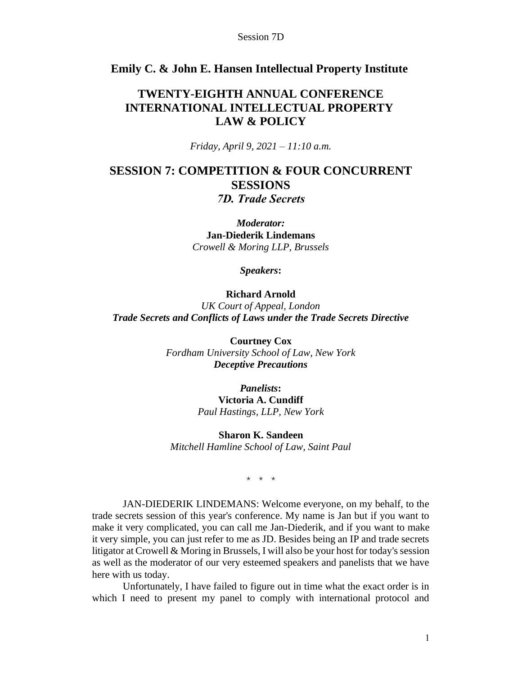#### **Emily C. & John E. Hansen Intellectual Property Institute**

### **TWENTY-EIGHTH ANNUAL CONFERENCE INTERNATIONAL INTELLECTUAL PROPERTY LAW & POLICY**

*Friday, April 9, 2021 – 11:10 a.m.*

# **SESSION 7: COMPETITION & FOUR CONCURRENT SESSIONS**

*7D. Trade Secrets*

*Moderator:* **Jan-Diederik Lindemans** *Crowell & Moring LLP, Brussels*

*Speakers***:**

#### **Richard Arnold**

*UK Court of Appeal, London Trade Secrets and Conflicts of Laws under the Trade Secrets Directive*

> **Courtney Cox** *Fordham University School of Law, New York Deceptive Precautions*

> > *Panelists***: Victoria A. Cundiff** *Paul Hastings, LLP, New York*

**Sharon K. Sandeen** *Mitchell Hamline School of Law, Saint Paul*

\* \* \*

JAN-DIEDERIK LINDEMANS: Welcome everyone, on my behalf, to the trade secrets session of this year's conference. My name is Jan but if you want to make it very complicated, you can call me Jan-Diederik, and if you want to make it very simple, you can just refer to me as JD. Besides being an IP and trade secrets litigator at Crowell & Moring in Brussels, I will also be your host for today's session as well as the moderator of our very esteemed speakers and panelists that we have here with us today.

Unfortunately, I have failed to figure out in time what the exact order is in which I need to present my panel to comply with international protocol and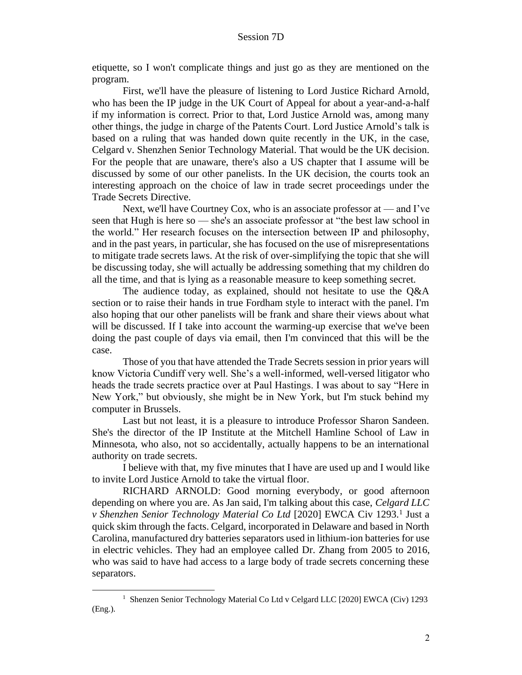etiquette, so I won't complicate things and just go as they are mentioned on the program.

First, we'll have the pleasure of listening to Lord Justice Richard Arnold, who has been the IP judge in the UK Court of Appeal for about a year-and-a-half if my information is correct. Prior to that, Lord Justice Arnold was, among many other things, the judge in charge of the Patents Court. Lord Justice Arnold's talk is based on a ruling that was handed down quite recently in the UK, in the case, Celgard v. Shenzhen Senior Technology Material. That would be the UK decision. For the people that are unaware, there's also a US chapter that I assume will be discussed by some of our other panelists. In the UK decision, the courts took an interesting approach on the choice of law in trade secret proceedings under the Trade Secrets Directive.

Next, we'll have Courtney Cox, who is an associate professor at — and I've seen that Hugh is here so — she's an associate professor at "the best law school in the world." Her research focuses on the intersection between IP and philosophy, and in the past years, in particular, she has focused on the use of misrepresentations to mitigate trade secrets laws. At the risk of over-simplifying the topic that she will be discussing today, she will actually be addressing something that my children do all the time, and that is lying as a reasonable measure to keep something secret.

The audience today, as explained, should not hesitate to use the Q&A section or to raise their hands in true Fordham style to interact with the panel. I'm also hoping that our other panelists will be frank and share their views about what will be discussed. If I take into account the warming-up exercise that we've been doing the past couple of days via email, then I'm convinced that this will be the case.

Those of you that have attended the Trade Secrets session in prior years will know Victoria Cundiff very well. She's a well-informed, well-versed litigator who heads the trade secrets practice over at Paul Hastings. I was about to say "Here in New York," but obviously, she might be in New York, but I'm stuck behind my computer in Brussels.

Last but not least, it is a pleasure to introduce Professor Sharon Sandeen. She's the director of the IP Institute at the Mitchell Hamline School of Law in Minnesota, who also, not so accidentally, actually happens to be an international authority on trade secrets.

I believe with that, my five minutes that I have are used up and I would like to invite Lord Justice Arnold to take the virtual floor.

RICHARD ARNOLD: Good morning everybody, or good afternoon depending on where you are. As Jan said, I'm talking about this case, *Celgard LLC*  v Shenzhen Senior Technology Material Co Ltd [2020] EWCA Civ 1293.<sup>1</sup> Just a quick skim through the facts. Celgard, incorporated in Delaware and based in North Carolina, manufactured dry batteries separators used in lithium-ion batteries for use in electric vehicles. They had an employee called Dr. Zhang from 2005 to 2016, who was said to have had access to a large body of trade secrets concerning these separators.

<sup>&</sup>lt;sup>1</sup> Shenzen Senior Technology Material Co Ltd v Celgard LLC [2020] EWCA (Civ) 1293 (Eng.).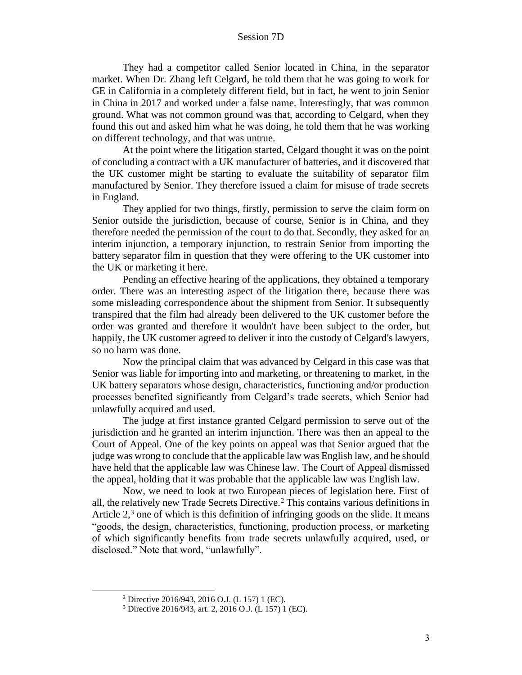They had a competitor called Senior located in China, in the separator market. When Dr. Zhang left Celgard, he told them that he was going to work for GE in California in a completely different field, but in fact, he went to join Senior in China in 2017 and worked under a false name. Interestingly, that was common ground. What was not common ground was that, according to Celgard, when they found this out and asked him what he was doing, he told them that he was working on different technology, and that was untrue.

At the point where the litigation started, Celgard thought it was on the point of concluding a contract with a UK manufacturer of batteries, and it discovered that the UK customer might be starting to evaluate the suitability of separator film manufactured by Senior. They therefore issued a claim for misuse of trade secrets in England.

They applied for two things, firstly, permission to serve the claim form on Senior outside the jurisdiction, because of course, Senior is in China, and they therefore needed the permission of the court to do that. Secondly, they asked for an interim injunction, a temporary injunction, to restrain Senior from importing the battery separator film in question that they were offering to the UK customer into the UK or marketing it here.

Pending an effective hearing of the applications, they obtained a temporary order. There was an interesting aspect of the litigation there, because there was some misleading correspondence about the shipment from Senior. It subsequently transpired that the film had already been delivered to the UK customer before the order was granted and therefore it wouldn't have been subject to the order, but happily, the UK customer agreed to deliver it into the custody of Celgard's lawyers, so no harm was done.

Now the principal claim that was advanced by Celgard in this case was that Senior was liable for importing into and marketing, or threatening to market, in the UK battery separators whose design, characteristics, functioning and/or production processes benefited significantly from Celgard's trade secrets, which Senior had unlawfully acquired and used.

The judge at first instance granted Celgard permission to serve out of the jurisdiction and he granted an interim injunction. There was then an appeal to the Court of Appeal. One of the key points on appeal was that Senior argued that the judge was wrong to conclude that the applicable law was English law, and he should have held that the applicable law was Chinese law. The Court of Appeal dismissed the appeal, holding that it was probable that the applicable law was English law.

Now, we need to look at two European pieces of legislation here. First of all, the relatively new Trade Secrets Directive.<sup>2</sup> This contains various definitions in Article  $2<sup>3</sup>$  one of which is this definition of infringing goods on the slide. It means "goods, the design, characteristics, functioning, production process, or marketing of which significantly benefits from trade secrets unlawfully acquired, used, or disclosed." Note that word, "unlawfully".

<sup>2</sup> Directive 2016/943, 2016 O.J. (L 157) 1 (EC).

<sup>3</sup> Directive 2016/943, art. 2, 2016 O.J. (L 157) 1 (EC).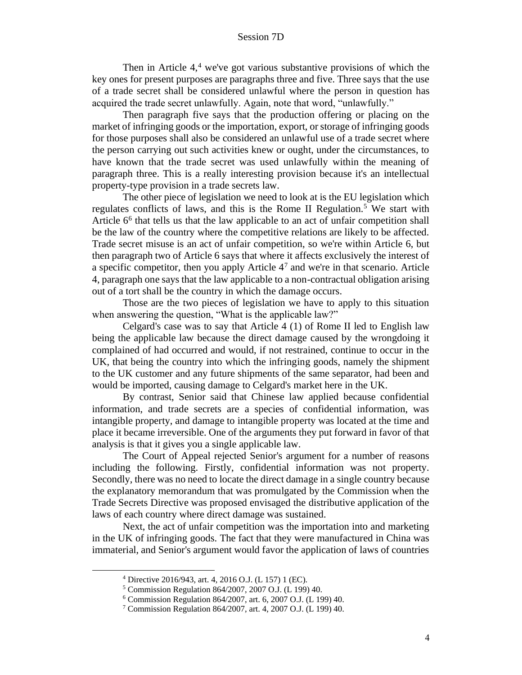Then in Article  $4<sup>4</sup>$  we've got various substantive provisions of which the key ones for present purposes are paragraphs three and five. Three says that the use of a trade secret shall be considered unlawful where the person in question has acquired the trade secret unlawfully. Again, note that word, "unlawfully."

Then paragraph five says that the production offering or placing on the market of infringing goods or the importation, export, or storage of infringing goods for those purposes shall also be considered an unlawful use of a trade secret where the person carrying out such activities knew or ought, under the circumstances, to have known that the trade secret was used unlawfully within the meaning of paragraph three. This is a really interesting provision because it's an intellectual property-type provision in a trade secrets law.

The other piece of legislation we need to look at is the EU legislation which regulates conflicts of laws, and this is the Rome II Regulation.<sup>5</sup> We start with Article 6<sup>6</sup> that tells us that the law applicable to an act of unfair competition shall be the law of the country where the competitive relations are likely to be affected. Trade secret misuse is an act of unfair competition, so we're within Article 6, but then paragraph two of Article 6 says that where it affects exclusively the interest of a specific competitor, then you apply Article  $4<sup>7</sup>$  and we're in that scenario. Article 4, paragraph one says that the law applicable to a non-contractual obligation arising out of a tort shall be the country in which the damage occurs.

Those are the two pieces of legislation we have to apply to this situation when answering the question, "What is the applicable law?"

Celgard's case was to say that Article 4 (1) of Rome II led to English law being the applicable law because the direct damage caused by the wrongdoing it complained of had occurred and would, if not restrained, continue to occur in the UK, that being the country into which the infringing goods, namely the shipment to the UK customer and any future shipments of the same separator, had been and would be imported, causing damage to Celgard's market here in the UK.

By contrast, Senior said that Chinese law applied because confidential information, and trade secrets are a species of confidential information, was intangible property, and damage to intangible property was located at the time and place it became irreversible. One of the arguments they put forward in favor of that analysis is that it gives you a single applicable law.

The Court of Appeal rejected Senior's argument for a number of reasons including the following. Firstly, confidential information was not property. Secondly, there was no need to locate the direct damage in a single country because the explanatory memorandum that was promulgated by the Commission when the Trade Secrets Directive was proposed envisaged the distributive application of the laws of each country where direct damage was sustained.

Next, the act of unfair competition was the importation into and marketing in the UK of infringing goods. The fact that they were manufactured in China was immaterial, and Senior's argument would favor the application of laws of countries

<sup>4</sup> Directive 2016/943, art. 4, 2016 O.J. (L 157) 1 (EC).

<sup>5</sup> Commission Regulation 864/2007, 2007 O.J. (L 199) 40.

<sup>6</sup> Commission Regulation 864/2007, art. 6, 2007 O.J. (L 199) 40.

<sup>7</sup> Commission Regulation 864/2007, art. 4, 2007 O.J. (L 199) 40.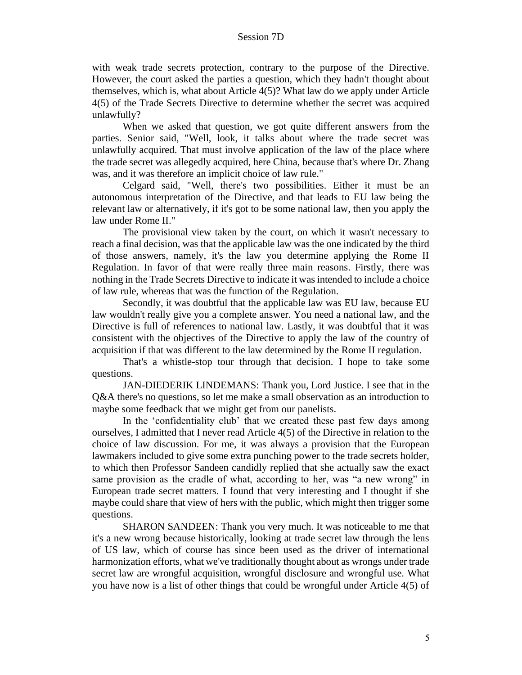with weak trade secrets protection, contrary to the purpose of the Directive. However, the court asked the parties a question, which they hadn't thought about themselves, which is, what about Article 4(5)? What law do we apply under Article 4(5) of the Trade Secrets Directive to determine whether the secret was acquired unlawfully?

When we asked that question, we got quite different answers from the parties. Senior said, "Well, look, it talks about where the trade secret was unlawfully acquired. That must involve application of the law of the place where the trade secret was allegedly acquired, here China, because that's where Dr. Zhang was, and it was therefore an implicit choice of law rule."

Celgard said, "Well, there's two possibilities. Either it must be an autonomous interpretation of the Directive, and that leads to EU law being the relevant law or alternatively, if it's got to be some national law, then you apply the law under Rome II."

The provisional view taken by the court, on which it wasn't necessary to reach a final decision, was that the applicable law was the one indicated by the third of those answers, namely, it's the law you determine applying the Rome II Regulation. In favor of that were really three main reasons. Firstly, there was nothing in the Trade Secrets Directive to indicate it was intended to include a choice of law rule, whereas that was the function of the Regulation.

Secondly, it was doubtful that the applicable law was EU law, because EU law wouldn't really give you a complete answer. You need a national law, and the Directive is full of references to national law. Lastly, it was doubtful that it was consistent with the objectives of the Directive to apply the law of the country of acquisition if that was different to the law determined by the Rome II regulation.

That's a whistle-stop tour through that decision. I hope to take some questions.

JAN-DIEDERIK LINDEMANS: Thank you, Lord Justice. I see that in the Q&A there's no questions, so let me make a small observation as an introduction to maybe some feedback that we might get from our panelists.

In the 'confidentiality club' that we created these past few days among ourselves, I admitted that I never read Article 4(5) of the Directive in relation to the choice of law discussion. For me, it was always a provision that the European lawmakers included to give some extra punching power to the trade secrets holder, to which then Professor Sandeen candidly replied that she actually saw the exact same provision as the cradle of what, according to her, was "a new wrong" in European trade secret matters. I found that very interesting and I thought if she maybe could share that view of hers with the public, which might then trigger some questions.

SHARON SANDEEN: Thank you very much. It was noticeable to me that it's a new wrong because historically, looking at trade secret law through the lens of US law, which of course has since been used as the driver of international harmonization efforts, what we've traditionally thought about as wrongs under trade secret law are wrongful acquisition, wrongful disclosure and wrongful use. What you have now is a list of other things that could be wrongful under Article 4(5) of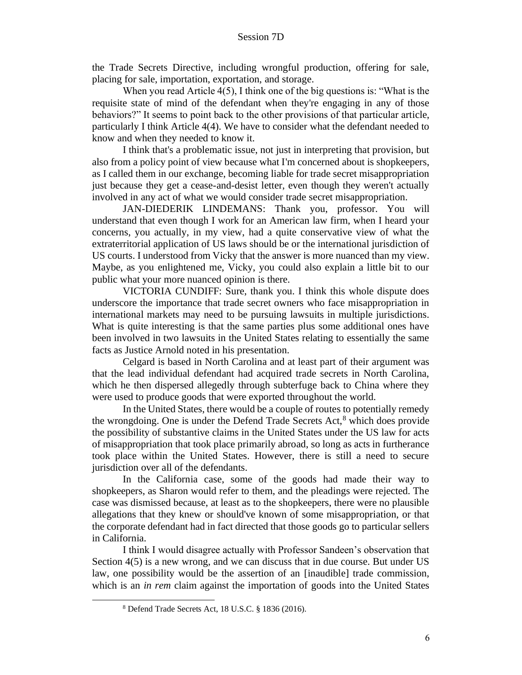the Trade Secrets Directive, including wrongful production, offering for sale, placing for sale, importation, exportation, and storage.

When you read Article 4(5), I think one of the big questions is: "What is the requisite state of mind of the defendant when they're engaging in any of those behaviors?" It seems to point back to the other provisions of that particular article, particularly I think Article 4(4). We have to consider what the defendant needed to know and when they needed to know it.

I think that's a problematic issue, not just in interpreting that provision, but also from a policy point of view because what I'm concerned about is shopkeepers, as I called them in our exchange, becoming liable for trade secret misappropriation just because they get a cease-and-desist letter, even though they weren't actually involved in any act of what we would consider trade secret misappropriation.

JAN-DIEDERIK LINDEMANS: Thank you, professor. You will understand that even though I work for an American law firm, when I heard your concerns, you actually, in my view, had a quite conservative view of what the extraterritorial application of US laws should be or the international jurisdiction of US courts. I understood from Vicky that the answer is more nuanced than my view. Maybe, as you enlightened me, Vicky, you could also explain a little bit to our public what your more nuanced opinion is there.

VICTORIA CUNDIFF: Sure, thank you. I think this whole dispute does underscore the importance that trade secret owners who face misappropriation in international markets may need to be pursuing lawsuits in multiple jurisdictions. What is quite interesting is that the same parties plus some additional ones have been involved in two lawsuits in the United States relating to essentially the same facts as Justice Arnold noted in his presentation.

Celgard is based in North Carolina and at least part of their argument was that the lead individual defendant had acquired trade secrets in North Carolina, which he then dispersed allegedly through subterfuge back to China where they were used to produce goods that were exported throughout the world.

In the United States, there would be a couple of routes to potentially remedy the wrongdoing. One is under the Defend Trade Secrets  $Act<sub>1</sub><sup>8</sup>$  which does provide the possibility of substantive claims in the United States under the US law for acts of misappropriation that took place primarily abroad, so long as acts in furtherance took place within the United States. However, there is still a need to secure jurisdiction over all of the defendants.

In the California case, some of the goods had made their way to shopkeepers, as Sharon would refer to them, and the pleadings were rejected. The case was dismissed because, at least as to the shopkeepers, there were no plausible allegations that they knew or should've known of some misappropriation, or that the corporate defendant had in fact directed that those goods go to particular sellers in California.

I think I would disagree actually with Professor Sandeen's observation that Section 4(5) is a new wrong, and we can discuss that in due course. But under US law, one possibility would be the assertion of an [inaudible] trade commission, which is an *in rem* claim against the importation of goods into the United States

<sup>8</sup> Defend Trade Secrets Act, 18 U.S.C. § 1836 (2016).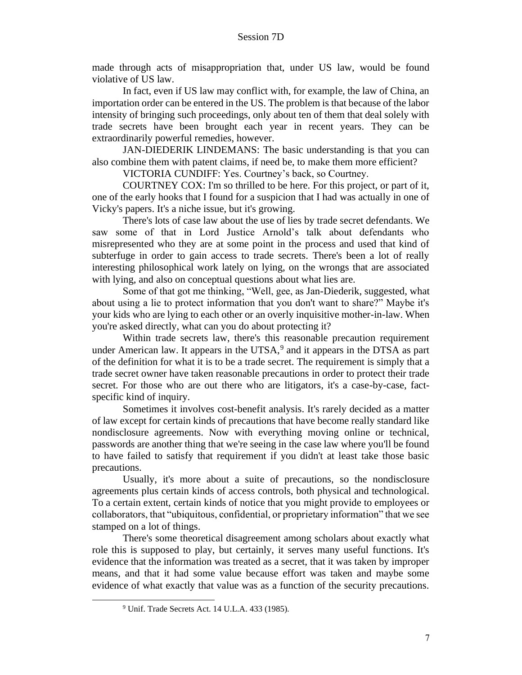made through acts of misappropriation that, under US law, would be found violative of US law.

In fact, even if US law may conflict with, for example, the law of China, an importation order can be entered in the US. The problem is that because of the labor intensity of bringing such proceedings, only about ten of them that deal solely with trade secrets have been brought each year in recent years. They can be extraordinarily powerful remedies, however.

JAN-DIEDERIK LINDEMANS: The basic understanding is that you can also combine them with patent claims, if need be, to make them more efficient?

VICTORIA CUNDIFF: Yes. Courtney's back, so Courtney.

COURTNEY COX: I'm so thrilled to be here. For this project, or part of it, one of the early hooks that I found for a suspicion that I had was actually in one of Vicky's papers. It's a niche issue, but it's growing.

There's lots of case law about the use of lies by trade secret defendants. We saw some of that in Lord Justice Arnold's talk about defendants who misrepresented who they are at some point in the process and used that kind of subterfuge in order to gain access to trade secrets. There's been a lot of really interesting philosophical work lately on lying, on the wrongs that are associated with lying, and also on conceptual questions about what lies are.

Some of that got me thinking, "Well, gee, as Jan-Diederik, suggested, what about using a lie to protect information that you don't want to share?" Maybe it's your kids who are lying to each other or an overly inquisitive mother-in-law. When you're asked directly, what can you do about protecting it?

Within trade secrets law, there's this reasonable precaution requirement under American law. It appears in the UTSA, $9$  and it appears in the DTSA as part of the definition for what it is to be a trade secret. The requirement is simply that a trade secret owner have taken reasonable precautions in order to protect their trade secret. For those who are out there who are litigators, it's a case-by-case, factspecific kind of inquiry.

Sometimes it involves cost-benefit analysis. It's rarely decided as a matter of law except for certain kinds of precautions that have become really standard like nondisclosure agreements. Now with everything moving online or technical, passwords are another thing that we're seeing in the case law where you'll be found to have failed to satisfy that requirement if you didn't at least take those basic precautions.

Usually, it's more about a suite of precautions, so the nondisclosure agreements plus certain kinds of access controls, both physical and technological. To a certain extent, certain kinds of notice that you might provide to employees or collaborators, that "ubiquitous, confidential, or proprietary information" that we see stamped on a lot of things.

There's some theoretical disagreement among scholars about exactly what role this is supposed to play, but certainly, it serves many useful functions. It's evidence that the information was treated as a secret, that it was taken by improper means, and that it had some value because effort was taken and maybe some evidence of what exactly that value was as a function of the security precautions.

<sup>9</sup> Unif. Trade Secrets Act. 14 U.L.A. 433 (1985).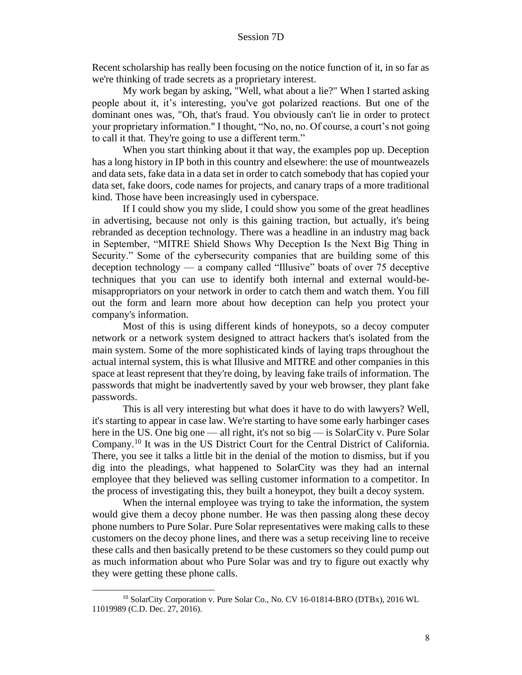Recent scholarship has really been focusing on the notice function of it, in so far as we're thinking of trade secrets as a proprietary interest.

My work began by asking, "Well, what about a lie?" When I started asking people about it, it's interesting, you've got polarized reactions. But one of the dominant ones was, "Oh, that's fraud. You obviously can't lie in order to protect your proprietary information." I thought, "No, no, no. Of course, a court's not going to call it that. They're going to use a different term."

When you start thinking about it that way, the examples pop up. Deception has a long history in IP both in this country and elsewhere: the use of mountweazels and data sets, fake data in a data set in order to catch somebody that has copied your data set, fake doors, code names for projects, and canary traps of a more traditional kind. Those have been increasingly used in cyberspace.

If I could show you my slide, I could show you some of the great headlines in advertising, because not only is this gaining traction, but actually, it's being rebranded as deception technology. There was a headline in an industry mag back in September, "MITRE Shield Shows Why Deception Is the Next Big Thing in Security." Some of the cybersecurity companies that are building some of this deception technology — a company called "Illusive" boats of over 75 deceptive techniques that you can use to identify both internal and external would-bemisappropriators on your network in order to catch them and watch them. You fill out the form and learn more about how deception can help you protect your company's information.

Most of this is using different kinds of honeypots, so a decoy computer network or a network system designed to attract hackers that's isolated from the main system. Some of the more sophisticated kinds of laying traps throughout the actual internal system, this is what Illusive and MITRE and other companies in this space at least represent that they're doing, by leaving fake trails of information. The passwords that might be inadvertently saved by your web browser, they plant fake passwords.

This is all very interesting but what does it have to do with lawyers? Well, it's starting to appear in case law. We're starting to have some early harbinger cases here in the US. One big one — all right, it's not so big — is SolarCity v. Pure Solar Company.<sup>10</sup> It was in the US District Court for the Central District of California. There, you see it talks a little bit in the denial of the motion to dismiss, but if you dig into the pleadings, what happened to SolarCity was they had an internal employee that they believed was selling customer information to a competitor. In the process of investigating this, they built a honeypot, they built a decoy system.

When the internal employee was trying to take the information, the system would give them a decoy phone number. He was then passing along these decoy phone numbers to Pure Solar. Pure Solar representatives were making calls to these customers on the decoy phone lines, and there was a setup receiving line to receive these calls and then basically pretend to be these customers so they could pump out as much information about who Pure Solar was and try to figure out exactly why they were getting these phone calls.

<sup>10</sup> SolarCity Corporation v. Pure Solar Co., No. CV 16-01814-BRO (DTBx), 2016 WL 11019989 (C.D. Dec. 27, 2016).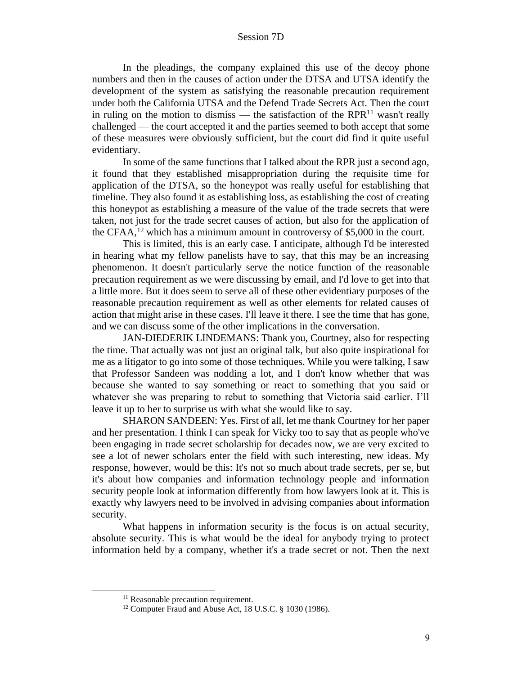In the pleadings, the company explained this use of the decoy phone numbers and then in the causes of action under the DTSA and UTSA identify the development of the system as satisfying the reasonable precaution requirement under both the California UTSA and the Defend Trade Secrets Act. Then the court in ruling on the motion to dismiss — the satisfaction of the RPR $^{11}$  wasn't really challenged — the court accepted it and the parties seemed to both accept that some of these measures were obviously sufficient, but the court did find it quite useful evidentiary.

In some of the same functions that I talked about the RPR just a second ago, it found that they established misappropriation during the requisite time for application of the DTSA, so the honeypot was really useful for establishing that timeline. They also found it as establishing loss, as establishing the cost of creating this honeypot as establishing a measure of the value of the trade secrets that were taken, not just for the trade secret causes of action, but also for the application of the CFAA,<sup>12</sup> which has a minimum amount in controversy of \$5,000 in the court.

This is limited, this is an early case. I anticipate, although I'd be interested in hearing what my fellow panelists have to say, that this may be an increasing phenomenon. It doesn't particularly serve the notice function of the reasonable precaution requirement as we were discussing by email, and I'd love to get into that a little more. But it does seem to serve all of these other evidentiary purposes of the reasonable precaution requirement as well as other elements for related causes of action that might arise in these cases. I'll leave it there. I see the time that has gone, and we can discuss some of the other implications in the conversation.

JAN-DIEDERIK LINDEMANS: Thank you, Courtney, also for respecting the time. That actually was not just an original talk, but also quite inspirational for me as a litigator to go into some of those techniques. While you were talking, I saw that Professor Sandeen was nodding a lot, and I don't know whether that was because she wanted to say something or react to something that you said or whatever she was preparing to rebut to something that Victoria said earlier. I'll leave it up to her to surprise us with what she would like to say.

SHARON SANDEEN: Yes. First of all, let me thank Courtney for her paper and her presentation. I think I can speak for Vicky too to say that as people who've been engaging in trade secret scholarship for decades now, we are very excited to see a lot of newer scholars enter the field with such interesting, new ideas. My response, however, would be this: It's not so much about trade secrets, per se, but it's about how companies and information technology people and information security people look at information differently from how lawyers look at it. This is exactly why lawyers need to be involved in advising companies about information security.

What happens in information security is the focus is on actual security, absolute security. This is what would be the ideal for anybody trying to protect information held by a company, whether it's a trade secret or not. Then the next

<sup>&</sup>lt;sup>11</sup> Reasonable precaution requirement.

<sup>&</sup>lt;sup>12</sup> Computer Fraud and Abuse Act, 18 U.S.C. § 1030 (1986).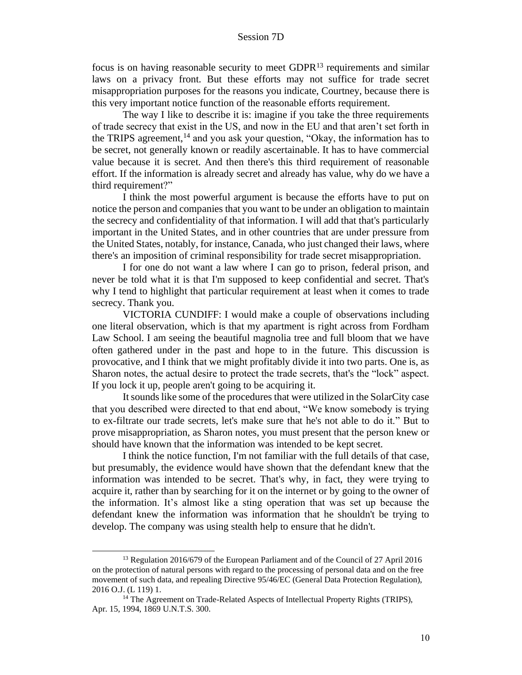focus is on having reasonable security to meet  $GDPR<sup>13</sup>$  requirements and similar laws on a privacy front. But these efforts may not suffice for trade secret misappropriation purposes for the reasons you indicate, Courtney, because there is this very important notice function of the reasonable efforts requirement.

The way I like to describe it is: imagine if you take the three requirements of trade secrecy that exist in the US, and now in the EU and that aren't set forth in the TRIPS agreement,<sup>14</sup> and you ask your question, "Okay, the information has to be secret, not generally known or readily ascertainable. It has to have commercial value because it is secret. And then there's this third requirement of reasonable effort. If the information is already secret and already has value, why do we have a third requirement?"

I think the most powerful argument is because the efforts have to put on notice the person and companies that you want to be under an obligation to maintain the secrecy and confidentiality of that information. I will add that that's particularly important in the United States, and in other countries that are under pressure from the United States, notably, for instance, Canada, who just changed their laws, where there's an imposition of criminal responsibility for trade secret misappropriation.

I for one do not want a law where I can go to prison, federal prison, and never be told what it is that I'm supposed to keep confidential and secret. That's why I tend to highlight that particular requirement at least when it comes to trade secrecy. Thank you.

VICTORIA CUNDIFF: I would make a couple of observations including one literal observation, which is that my apartment is right across from Fordham Law School. I am seeing the beautiful magnolia tree and full bloom that we have often gathered under in the past and hope to in the future. This discussion is provocative, and I think that we might profitably divide it into two parts. One is, as Sharon notes, the actual desire to protect the trade secrets, that's the "lock" aspect. If you lock it up, people aren't going to be acquiring it.

It sounds like some of the procedures that were utilized in the SolarCity case that you described were directed to that end about, "We know somebody is trying to ex-filtrate our trade secrets, let's make sure that he's not able to do it." But to prove misappropriation, as Sharon notes, you must present that the person knew or should have known that the information was intended to be kept secret.

I think the notice function, I'm not familiar with the full details of that case, but presumably, the evidence would have shown that the defendant knew that the information was intended to be secret. That's why, in fact, they were trying to acquire it, rather than by searching for it on the internet or by going to the owner of the information. It's almost like a sting operation that was set up because the defendant knew the information was information that he shouldn't be trying to develop. The company was using stealth help to ensure that he didn't.

<sup>&</sup>lt;sup>13</sup> Regulation 2016/679 of the European Parliament and of the Council of 27 April 2016 on the protection of natural persons with regard to the processing of personal data and on the free movement of such data, and repealing Directive 95/46/EC (General Data Protection Regulation), 2016 O.J. (L 119) 1.

<sup>&</sup>lt;sup>14</sup> The Agreement on Trade-Related Aspects of Intellectual Property Rights (TRIPS), Apr. 15, 1994, 1869 U.N.T.S. 300.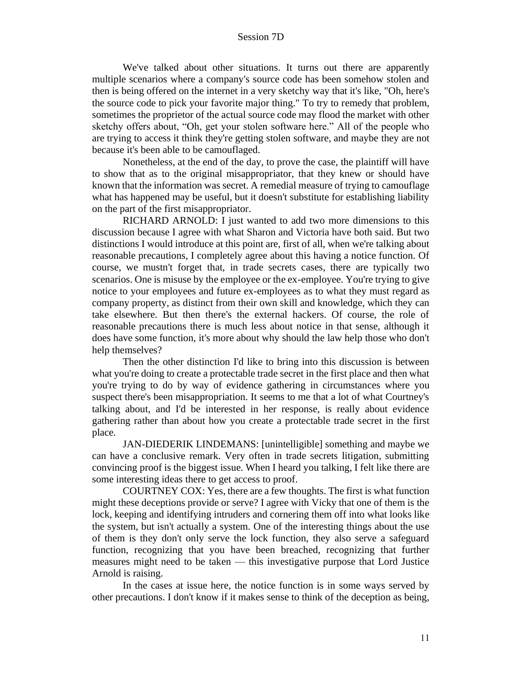We've talked about other situations. It turns out there are apparently multiple scenarios where a company's source code has been somehow stolen and then is being offered on the internet in a very sketchy way that it's like, "Oh, here's the source code to pick your favorite major thing." To try to remedy that problem, sometimes the proprietor of the actual source code may flood the market with other sketchy offers about, "Oh, get your stolen software here." All of the people who are trying to access it think they're getting stolen software, and maybe they are not because it's been able to be camouflaged.

Nonetheless, at the end of the day, to prove the case, the plaintiff will have to show that as to the original misappropriator, that they knew or should have known that the information was secret. A remedial measure of trying to camouflage what has happened may be useful, but it doesn't substitute for establishing liability on the part of the first misappropriator.

RICHARD ARNOLD: I just wanted to add two more dimensions to this discussion because I agree with what Sharon and Victoria have both said. But two distinctions I would introduce at this point are, first of all, when we're talking about reasonable precautions, I completely agree about this having a notice function. Of course, we mustn't forget that, in trade secrets cases, there are typically two scenarios. One is misuse by the employee or the ex-employee. You're trying to give notice to your employees and future ex-employees as to what they must regard as company property, as distinct from their own skill and knowledge, which they can take elsewhere. But then there's the external hackers. Of course, the role of reasonable precautions there is much less about notice in that sense, although it does have some function, it's more about why should the law help those who don't help themselves?

Then the other distinction I'd like to bring into this discussion is between what you're doing to create a protectable trade secret in the first place and then what you're trying to do by way of evidence gathering in circumstances where you suspect there's been misappropriation. It seems to me that a lot of what Courtney's talking about, and I'd be interested in her response, is really about evidence gathering rather than about how you create a protectable trade secret in the first place.

JAN-DIEDERIK LINDEMANS: [unintelligible] something and maybe we can have a conclusive remark. Very often in trade secrets litigation, submitting convincing proof is the biggest issue. When I heard you talking, I felt like there are some interesting ideas there to get access to proof.

COURTNEY COX: Yes, there are a few thoughts. The first is what function might these deceptions provide or serve? I agree with Vicky that one of them is the lock, keeping and identifying intruders and cornering them off into what looks like the system, but isn't actually a system. One of the interesting things about the use of them is they don't only serve the lock function, they also serve a safeguard function, recognizing that you have been breached, recognizing that further measures might need to be taken — this investigative purpose that Lord Justice Arnold is raising.

In the cases at issue here, the notice function is in some ways served by other precautions. I don't know if it makes sense to think of the deception as being,